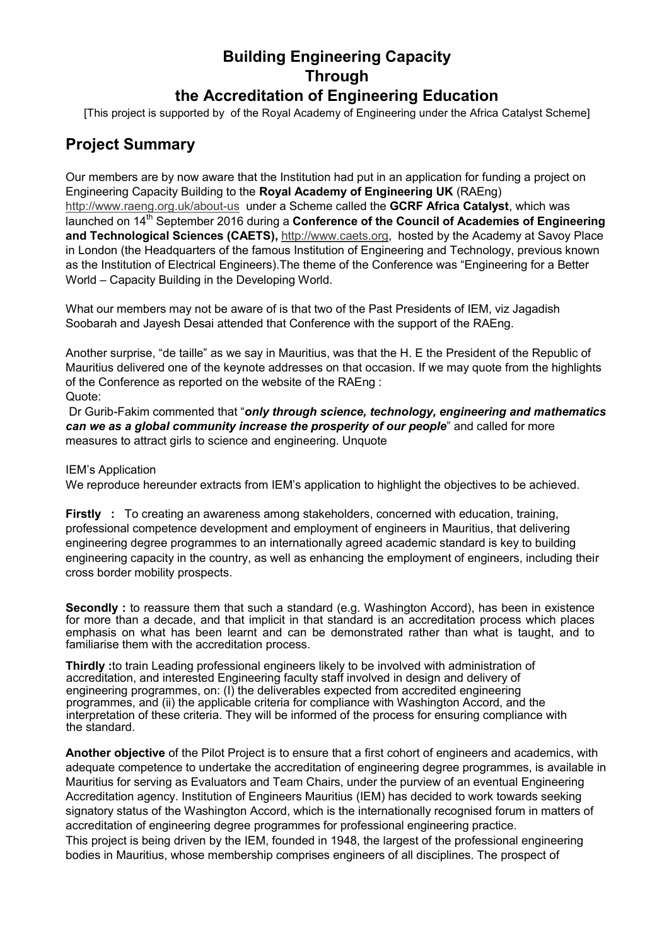## **Building Engineering Capacity Through the Accreditation of Engineering Education**

[This project is supported by of the Royal Academy of Engineering under the Africa Catalyst Scheme]

## **Project Summary**

Our members are by now aware that the Institution had put in an application for funding a project on Engineering Capacity Building to the **Royal Academy of Engineering UK** (RAEng) <http://www.raeng.org.uk/about-us>under a Scheme called the **GCRF Africa Catalyst**, which was launched on 14<sup>th</sup> September 2016 during a **Conference of the Council of Academies of Engineering and Technological Sciences (CAETS),** [http://www.caets.org,](http://www.caets.org/) hosted by the Academy at Savoy Place in London (the Headquarters of the famous Institution of Engineering and Technology, previous known as the Institution of Electrical Engineers).The theme of the Conference was "Engineering for a Better World – Capacity Building in the Developing World.

What our members may not be aware of is that two of the Past Presidents of IEM, viz Jagadish Soobarah and Jayesh Desai attended that Conference with the support of the RAEng.

Another surprise, "de taille" as we say in Mauritius, was that the H. E the President of the Republic of Mauritius delivered one of the keynote addresses on that occasion. If we may quote from the highlights of the Conference as reported on the website of the RAEng : Quote:

Dr Gurib-Fakim commented that "*only through science, technology, engineering and mathematics can we as a global community increase the prosperity of our people*" and called for more measures to attract girls to science and engineering. Unquote

## IEM's Application

We reproduce hereunder extracts from IEM's application to highlight the objectives to be achieved.

**Firstly** : To creating an awareness among stakeholders, concerned with education, training, professional competence development and employment of engineers in Mauritius, that delivering engineering degree programmes to an internationally agreed academic standard is key to building engineering capacity in the country, as well as enhancing the employment of engineers, including their cross border mobility prospects.

**Secondly** : to reassure them that such a standard (e.g. Washington Accord), has been in existence for more than a decade, and that implicit in that standard is an accreditation process which places emphasis on what has been learnt and can be demonstrated rather than what is taught, and to familiarise them with the accreditation process.

**Thirdly :**to train Leading professional engineers likely to be involved with administration of accreditation, and interested Engineering faculty staff involved in design and delivery of engineering programmes, on: (I) the deliverables expected from accredited engineering programmes, and (ii) the applicable criteria for compliance with Washington Accord, and the interpretation of these criteria. They will be informed of the process for ensuring compliance with the standard.

**Another objective** of the Pilot Project is to ensure that a first cohort of engineers and academics, with adequate competence to undertake the accreditation of engineering degree programmes, is available in Mauritius for serving as Evaluators and Team Chairs, under the purview of an eventual Engineering Accreditation agency. Institution of Engineers Mauritius (IEM) has decided to work towards seeking signatory status of the Washington Accord, which is the internationally recognised forum in matters of accreditation of engineering degree programmes for professional engineering practice. This project is being driven by the IEM, founded in 1948, the largest of the professional engineering bodies in Mauritius, whose membership comprises engineers of all disciplines. The prospect of